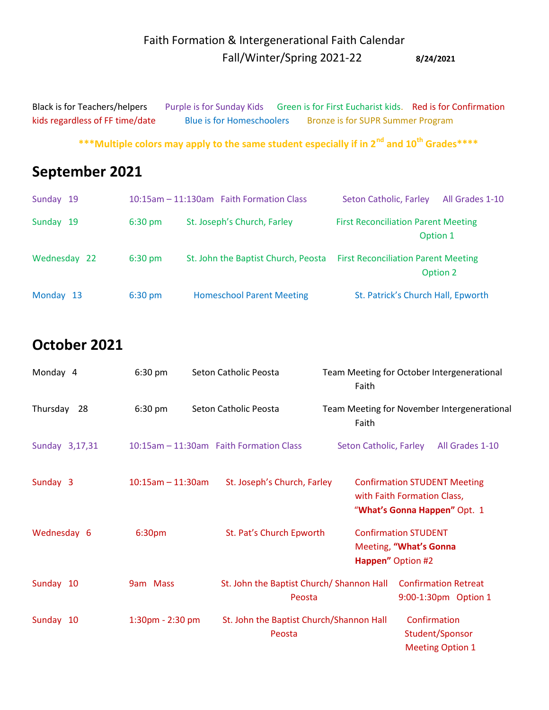#### Faith Formation & Intergenerational Faith Calendar Fall/Winter/Spring 2021-22 **8/24/2021**

Black is for Teachers/helpers Purple is for Sunday Kids Green is for First Eucharist kids. Red is for Confirmation kids regardless of FF time/date Blue is for Homeschoolers Bronze is for SUPR Summer Program

 **\*\*\*Multiple colors may apply to the same student especially if in 2nd and 10th Grades\*\*\*\***

# **September 2021**

| Sunday 19    |                   | 10:15am - 11:130am Faith Formation Class | Seton Catholic, Farley                                 | All Grades 1-10 |
|--------------|-------------------|------------------------------------------|--------------------------------------------------------|-----------------|
| Sunday 19    | $6:30 \text{ pm}$ | St. Joseph's Church, Farley              | <b>First Reconciliation Parent Meeting</b><br>Option 1 |                 |
| Wednesday 22 | $6:30 \text{ pm}$ | St. John the Baptist Church, Peosta      | <b>First Reconciliation Parent Meeting</b>             | Option 2        |
| Monday 13    | $6:30 \text{ pm}$ | <b>Homeschool Parent Meeting</b>         | St. Patrick's Church Hall, Epworth                     |                 |

### **October 2021**

| Monday 4       | $6:30$ pm           | Seton Catholic Peosta                               | Team Meeting for October Intergenerational<br>Faith                                                |
|----------------|---------------------|-----------------------------------------------------|----------------------------------------------------------------------------------------------------|
| Thursday<br>28 | $6:30$ pm           | Seton Catholic Peosta                               | Team Meeting for November Intergenerational<br>Faith                                               |
| Sunday 3,17,31 |                     | 10:15am - 11:30am Faith Formation Class             | All Grades 1-10<br>Seton Catholic, Farley                                                          |
| Sunday 3       | $10:15am - 11:30am$ | St. Joseph's Church, Farley                         | <b>Confirmation STUDENT Meeting</b><br>with Faith Formation Class,<br>"What's Gonna Happen" Opt. 1 |
| Wednesday 6    | 6:30 <sub>pm</sub>  | St. Pat's Church Epworth                            | <b>Confirmation STUDENT</b><br>Meeting, "What's Gonna<br>Happen" Option #2                         |
| Sunday 10      | 9am Mass            | St. John the Baptist Church/ Shannon Hall<br>Peosta | <b>Confirmation Retreat</b><br>9:00-1:30pm Option 1                                                |
| Sunday 10      | 1:30pm - 2:30 pm    | St. John the Baptist Church/Shannon Hall<br>Peosta  | Confirmation<br>Student/Sponsor<br><b>Meeting Option 1</b>                                         |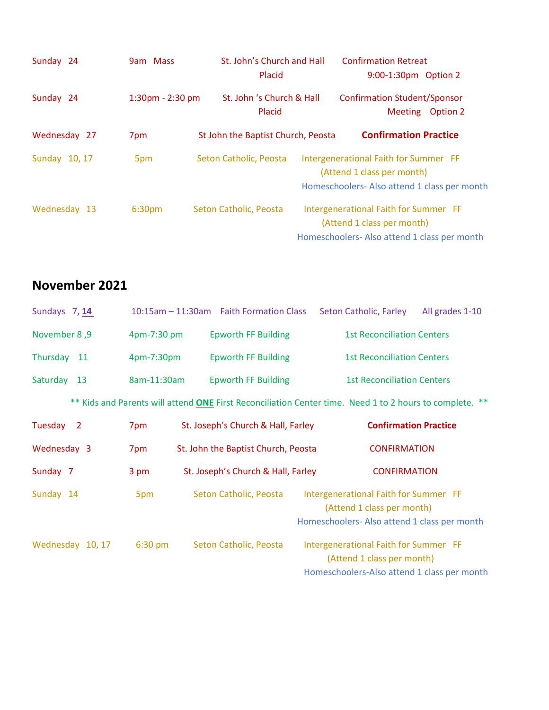| Sunday 24     | 9am Mass              | St. John's Church and Hall         | Placid | <b>Confirmation Retreat</b><br>9:00-1:30pm Option 2                                                                |                 |
|---------------|-----------------------|------------------------------------|--------|--------------------------------------------------------------------------------------------------------------------|-----------------|
| Sunday 24     | $1:30$ pm - $2:30$ pm | St. John 's Church & Hall          | Placid | <b>Confirmation Student/Sponsor</b><br><b>Meeting</b>                                                              | <b>Option 2</b> |
| Wednesday 27  | 7pm                   | St John the Baptist Church, Peosta |        | <b>Confirmation Practice</b>                                                                                       |                 |
| Sunday 10, 17 | 5pm                   | Seton Catholic, Peosta             |        | Intergenerational Faith for Summer FF<br>(Attend 1 class per month)<br>Homeschoolers-Also attend 1 class per month |                 |
| Wednesday 13  | 6:30 <sub>pm</sub>    | Seton Catholic, Peosta             |        | Intergenerational Faith for Summer FF<br>(Attend 1 class per month)<br>Homeschoolers-Also attend 1 class per month |                 |

#### **November 2021**

| Sundays 7, 14        |             | 10:15am - 11:30am Faith Formation Class | Seton Catholic, Farley<br>All grades 1-10                                                                           |
|----------------------|-------------|-----------------------------------------|---------------------------------------------------------------------------------------------------------------------|
| <b>November 8, 9</b> | 4pm-7:30 pm | <b>Epworth FF Building</b>              | <b>1st Reconciliation Centers</b>                                                                                   |
| Thursday 11          | 4pm-7:30pm  | <b>Epworth FF Building</b>              | <b>1st Reconciliation Centers</b>                                                                                   |
| Saturday<br>13       | 8am-11:30am | <b>Epworth FF Building</b>              | <b>1st Reconciliation Centers</b>                                                                                   |
|                      |             |                                         | ** Kids and Parents will attend ONE First Reconciliation Center time. Need 1 to 2 hours to complete. **             |
| Tuesday <sub>2</sub> | 7pm         | St. Joseph's Church & Hall, Farley      | <b>Confirmation Practice</b>                                                                                        |
| Wednesday 3          | 7pm         | St. John the Baptist Church, Peosta     | <b>CONFIRMATION</b>                                                                                                 |
| Sunday 7             | 3 pm        | St. Joseph's Church & Hall, Farley      | <b>CONFIRMATION</b>                                                                                                 |
| Sunday 14            | 5pm         | Seton Catholic, Peosta                  | Intergenerational Faith for Summer FF<br>(Attend 1 class per month)<br>Homeschoolers- Also attend 1 class per month |
| Wednesday 10, 17     | $6:30$ pm   | Seton Catholic, Peosta                  | Intergenerational Faith for Summer FF<br>(Attend 1 class per month)<br>Homeschoolers-Also attend 1 class per month  |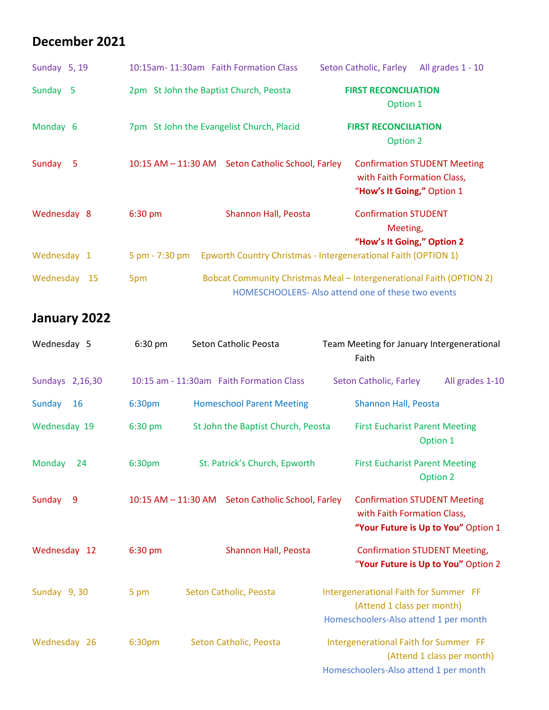#### **December 2021**

| Sunday 5, 19 | 10:15am-11:30am Faith Formation Class     |                                                                                                                            | Seton Catholic, Farley                                                | All grades 1 - 10                   |
|--------------|-------------------------------------------|----------------------------------------------------------------------------------------------------------------------------|-----------------------------------------------------------------------|-------------------------------------|
| Sunday 5     | 2pm St John the Baptist Church, Peosta    |                                                                                                                            | <b>FIRST RECONCILIATION</b><br>Option 1                               |                                     |
| Monday 6     | 7pm St John the Evangelist Church, Placid |                                                                                                                            | <b>FIRST RECONCILIATION</b><br>Option 2                               |                                     |
| Sunday<br>-5 |                                           | 10:15 AM - 11:30 AM Seton Catholic School, Farley                                                                          | with Faith Formation Class,<br>"How's It Going," Option 1             | <b>Confirmation STUDENT Meeting</b> |
| Wednesday 8  | $6:30$ pm                                 | Shannon Hall, Peosta                                                                                                       | <b>Confirmation STUDENT</b><br>Meeting,<br>"How's It Going," Option 2 |                                     |
| Wednesday 1  | 5 pm - 7:30 pm                            | Epworth Country Christmas - Intergenerational Faith (OPTION 1)                                                             |                                                                       |                                     |
| Wednesday 15 | 5pm                                       | Bobcat Community Christmas Meal - Intergenerational Faith (OPTION 2)<br>HOMESCHOOLERS- Also attend one of these two events |                                                                       |                                     |

### **January 2022**

| Wednesday 5         | $6:30$ pm | Seton Catholic Peosta                             | Team Meeting for January Intergenerational<br>Faith                                                          |
|---------------------|-----------|---------------------------------------------------|--------------------------------------------------------------------------------------------------------------|
| Sundays 2,16,30     |           | 10:15 am - 11:30am Faith Formation Class          | All grades 1-10<br>Seton Catholic, Farley                                                                    |
| Sunday<br><b>16</b> | 6:30pm    | <b>Homeschool Parent Meeting</b>                  | Shannon Hall, Peosta                                                                                         |
| Wednesday 19        | 6:30 pm   | St John the Baptist Church, Peosta                | <b>First Eucharist Parent Meeting</b><br>Option 1                                                            |
| Monday<br>24        | 6:30pm    | St. Patrick's Church, Epworth                     | <b>First Eucharist Parent Meeting</b><br>Option 2                                                            |
| Sunday<br>9         |           | 10:15 AM - 11:30 AM Seton Catholic School, Farley | <b>Confirmation STUDENT Meeting</b><br>with Faith Formation Class,<br>"Your Future is Up to You" Option 1    |
| Wednesday 12        | 6:30 pm   | Shannon Hall, Peosta                              | <b>Confirmation STUDENT Meeting,</b><br>"Your Future is Up to You" Option 2                                  |
| Sunday 9, 30        | 5 pm      | Seton Catholic, Peosta                            | Intergenerational Faith for Summer FF<br>(Attend 1 class per month)<br>Homeschoolers-Also attend 1 per month |
| Wednesday 26        | 6:30pm    | Seton Catholic, Peosta                            | Intergenerational Faith for Summer FF<br>(Attend 1 class per month)<br>Homeschoolers-Also attend 1 per month |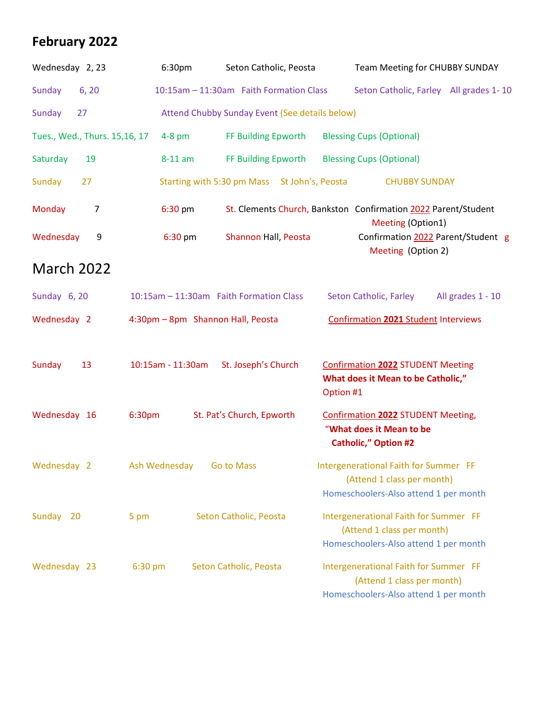### **February 2022**

| Wednesday 2, 23               | 6:30pm                            | Seton Catholic, Peosta                         | Team Meeting for CHUBBY SUNDAY                                                                               |
|-------------------------------|-----------------------------------|------------------------------------------------|--------------------------------------------------------------------------------------------------------------|
| Sunday<br>6, 20               |                                   | 10:15am - 11:30am Faith Formation Class        | Seton Catholic, Farley All grades 1-10                                                                       |
| Sunday<br>27                  |                                   | Attend Chubby Sunday Event (See details below) |                                                                                                              |
| Tues., Wed., Thurs. 15,16, 17 | $4-8$ pm                          | FF Building Epworth                            | <b>Blessing Cups (Optional)</b>                                                                              |
| 19<br>Saturday                | 8-11 am                           | FF Building Epworth                            | <b>Blessing Cups (Optional)</b>                                                                              |
| 27<br>Sunday                  |                                   | Starting with 5:30 pm Mass St John's, Peosta   | <b>CHUBBY SUNDAY</b>                                                                                         |
| Monday<br>$\overline{7}$      | 6:30 pm                           |                                                | St. Clements Church, Bankston Confirmation 2022 Parent/Student<br>Meeting (Option1)                          |
| Wednesday<br>9                | 6:30 pm                           | Shannon Hall, Peosta                           | Confirmation 2022 Parent/Student g<br>Meeting (Option 2)                                                     |
| <b>March 2022</b>             |                                   |                                                |                                                                                                              |
| Sunday 6, 20                  |                                   | 10:15am - 11:30am Faith Formation Class        | Seton Catholic, Farley<br>All grades 1 - 10                                                                  |
| Wednesday 2                   | 4:30pm - 8pm Shannon Hall, Peosta |                                                | <b>Confirmation 2021 Student Interviews</b>                                                                  |
| Sunday<br>13                  | 10:15am - 11:30am                 | St. Joseph's Church                            | <b>Confirmation 2022 STUDENT Meeting</b><br>What does it Mean to be Catholic,"<br>Option #1                  |
| Wednesday 16                  | 6:30pm                            | St. Pat's Church, Epworth                      | <b>Confirmation 2022 STUDENT Meeting,</b><br>"What does it Mean to be<br><b>Catholic," Option #2</b>         |
| Wednesday 2                   | Ash Wednesday                     | <b>Go to Mass</b>                              | Intergenerational Faith for Summer FF<br>(Attend 1 class per month)<br>Homeschoolers-Also attend 1 per month |
| Sunday 20                     | 5 pm                              | Seton Catholic, Peosta                         | Intergenerational Faith for Summer FF<br>(Attend 1 class per month)<br>Homeschoolers-Also attend 1 per month |
| Wednesday 23                  | 6:30 pm                           | Seton Catholic, Peosta                         | Intergenerational Faith for Summer FF<br>(Attend 1 class per month)<br>Homeschoolers-Also attend 1 per month |